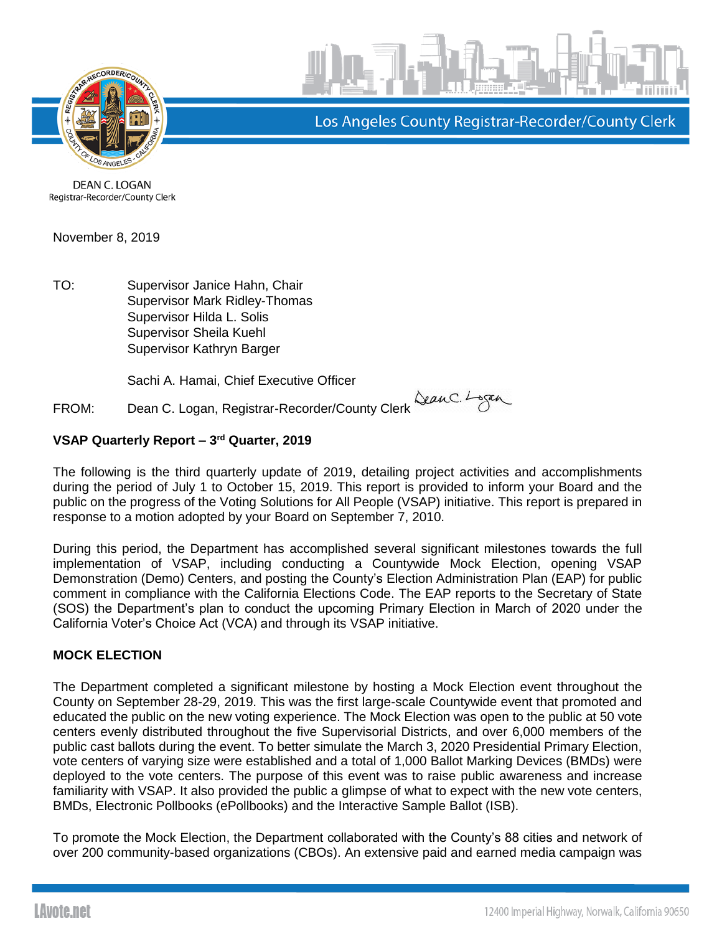

Los Angeles County Registrar-Recorder/County Clerk

DEAN C. LOGAN Registrar-Recorder/County Clerk

November 8, 2019

TO: Supervisor Janice Hahn, Chair Supervisor Mark Ridley-Thomas Supervisor Hilda L. Solis Supervisor Sheila Kuehl Supervisor Kathryn Barger

Sachi A. Hamai, Chief Executive Officer

FROM: Dean C. Logan, Registrar-Recorder/County Clerk Stan C. Lagan

# **VSAP Quarterly Report – 3 rd Quarter, 2019**

The following is the third quarterly update of 2019, detailing project activities and accomplishments during the period of July 1 to October 15, 2019. This report is provided to inform your Board and the public on the progress of the Voting Solutions for All People (VSAP) initiative. This report is prepared in response to a motion adopted by your Board on September 7, 2010.

During this period, the Department has accomplished several significant milestones towards the full implementation of VSAP, including conducting a Countywide Mock Election, opening VSAP Demonstration (Demo) Centers, and posting the County's Election Administration Plan (EAP) for public comment in compliance with the California Elections Code. The EAP reports to the Secretary of State (SOS) the Department's plan to conduct the upcoming Primary Election in March of 2020 under the California Voter's Choice Act (VCA) and through its VSAP initiative.

# **MOCK ELECTION**

The Department completed a significant milestone by hosting a Mock Election event throughout the County on September 28-29, 2019. This was the first large-scale Countywide event that promoted and educated the public on the new voting experience. The Mock Election was open to the public at 50 vote centers evenly distributed throughout the five Supervisorial Districts, and over 6,000 members of the public cast ballots during the event. To better simulate the March 3, 2020 Presidential Primary Election, vote centers of varying size were established and a total of 1,000 Ballot Marking Devices (BMDs) were deployed to the vote centers. The purpose of this event was to raise public awareness and increase familiarity with VSAP. It also provided the public a glimpse of what to expect with the new vote centers, BMDs, Electronic Pollbooks (ePollbooks) and the Interactive Sample Ballot (ISB).

To promote the Mock Election, the Department collaborated with the County's 88 cities and network of over 200 community-based organizations (CBOs). An extensive paid and earned media campaign was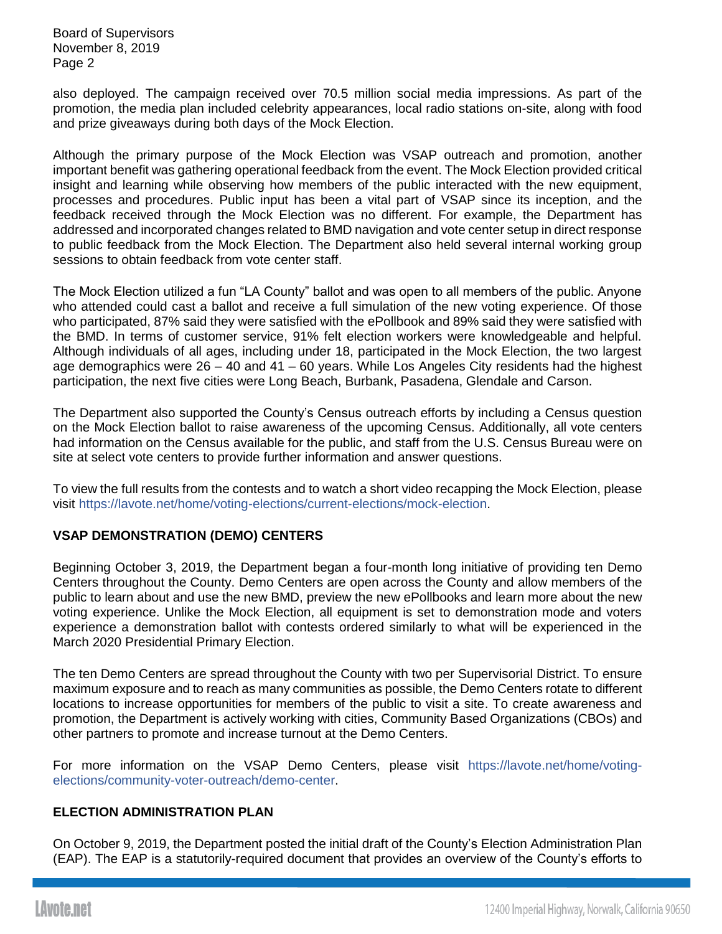also deployed. The campaign received over 70.5 million social media impressions. As part of the promotion, the media plan included celebrity appearances, local radio stations on-site, along with food and prize giveaways during both days of the Mock Election.

Although the primary purpose of the Mock Election was VSAP outreach and promotion, another important benefit was gathering operational feedback from the event. The Mock Election provided critical insight and learning while observing how members of the public interacted with the new equipment, processes and procedures. Public input has been a vital part of VSAP since its inception, and the feedback received through the Mock Election was no different. For example, the Department has addressed and incorporated changes related to BMD navigation and vote center setup in direct response to public feedback from the Mock Election. The Department also held several internal working group sessions to obtain feedback from vote center staff.

The Mock Election utilized a fun "LA County" ballot and was open to all members of the public. Anyone who attended could cast a ballot and receive a full simulation of the new voting experience. Of those who participated, 87% said they were satisfied with the ePollbook and 89% said they were satisfied with the BMD. In terms of customer service, 91% felt election workers were knowledgeable and helpful. Although individuals of all ages, including under 18, participated in the Mock Election, the two largest age demographics were 26 – 40 and 41 – 60 years. While Los Angeles City residents had the highest participation, the next five cities were Long Beach, Burbank, Pasadena, Glendale and Carson.

The Department also supported the County's Census outreach efforts by including a Census question on the Mock Election ballot to raise awareness of the upcoming Census. Additionally, all vote centers had information on the Census available for the public, and staff from the U.S. Census Bureau were on site at select vote centers to provide further information and answer questions.

To view the full results from the contests and to watch a short video recapping the Mock Election, please visit [https://lavote.net/home/voting-elections/current-elections/mock-election.](https://lavote.net/home/voting-elections/current-elections/mock-election)

# **VSAP DEMONSTRATION (DEMO) CENTERS**

Beginning October 3, 2019, the Department began a four-month long initiative of providing ten Demo Centers throughout the County. Demo Centers are open across the County and allow members of the public to learn about and use the new BMD, preview the new ePollbooks and learn more about the new voting experience. Unlike the Mock Election, all equipment is set to demonstration mode and voters experience a demonstration ballot with contests ordered similarly to what will be experienced in the March 2020 Presidential Primary Election.

The ten Demo Centers are spread throughout the County with two per Supervisorial District. To ensure maximum exposure and to reach as many communities as possible, the Demo Centers rotate to different locations to increase opportunities for members of the public to visit a site. To create awareness and promotion, the Department is actively working with cities, Community Based Organizations (CBOs) and other partners to promote and increase turnout at the Demo Centers.

For more information on the VSAP Demo Centers, please visit [https://lavote.net/home/voting](https://lavote.net/home/voting-elections/community-voter-outreach/demo-center)[elections/community-voter-outreach/demo-center.](https://lavote.net/home/voting-elections/community-voter-outreach/demo-center)

# **ELECTION ADMINISTRATION PLAN**

On October 9, 2019, the Department posted the initial draft of the County's Election Administration Plan (EAP). The EAP is a statutorily-required document that provides an overview of the County's efforts to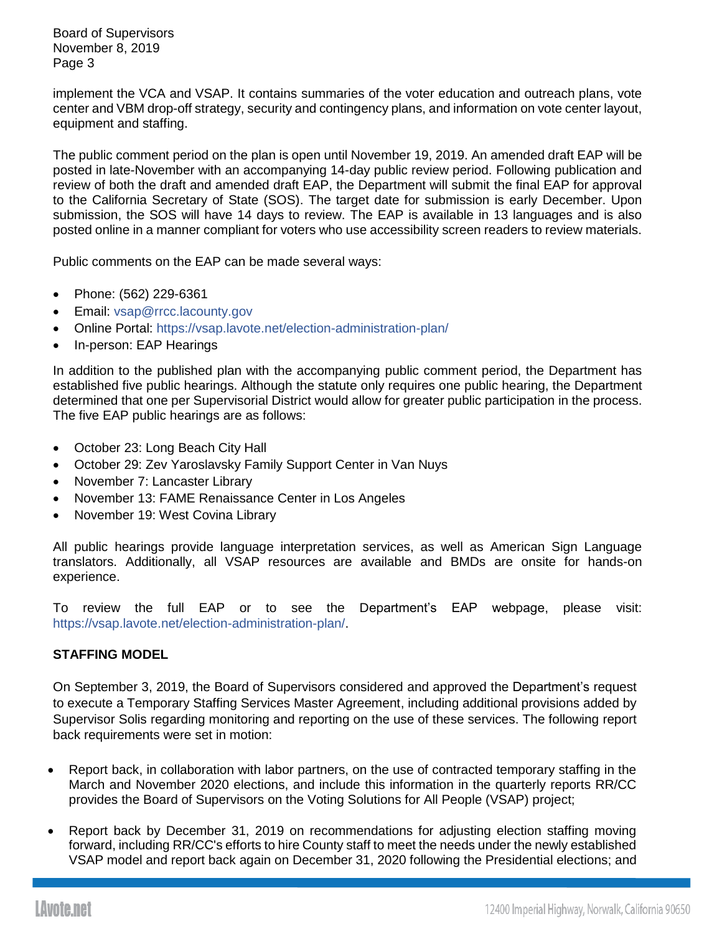implement the VCA and VSAP. It contains summaries of the voter education and outreach plans, vote center and VBM drop-off strategy, security and contingency plans, and information on vote center layout, equipment and staffing.

The public comment period on the plan is open until November 19, 2019. An amended draft EAP will be posted in late-November with an accompanying 14-day public review period. Following publication and review of both the draft and amended draft EAP, the Department will submit the final EAP for approval to the California Secretary of State (SOS). The target date for submission is early December. Upon submission, the SOS will have 14 days to review. The EAP is available in 13 languages and is also posted online in a manner compliant for voters who use accessibility screen readers to review materials.

Public comments on the EAP can be made several ways:

- Phone: (562) 229-6361
- Email: [vsap@rrcc.lacounty.gov](mailto:vsap@rrcc.lacounty.gov)
- Online Portal:<https://vsap.lavote.net/election-administration-plan/>
- In-person: EAP Hearings

In addition to the published plan with the accompanying public comment period, the Department has established five public hearings. Although the statute only requires one public hearing, the Department determined that one per Supervisorial District would allow for greater public participation in the process. The five EAP public hearings are as follows:

- October 23: Long Beach City Hall
- October 29: Zev Yaroslavsky Family Support Center in Van Nuys
- November 7: Lancaster Library
- November 13: FAME Renaissance Center in Los Angeles
- November 19: West Covina Library

All public hearings provide language interpretation services, as well as American Sign Language translators. Additionally, all VSAP resources are available and BMDs are onsite for hands-on experience.

To review the full EAP or to see the Department's EAP webpage, please visit: [https://vsap.lavote.net/election-administration-plan/.](https://vsap.lavote.net/election-administration-plan/)

# **STAFFING MODEL**

On September 3, 2019, the Board of Supervisors considered and approved the Department's request to execute a Temporary Staffing Services Master Agreement, including additional provisions added by Supervisor Solis regarding monitoring and reporting on the use of these services. The following report back requirements were set in motion:

- Report back, in collaboration with labor partners, on the use of contracted temporary staffing in the March and November 2020 elections, and include this information in the quarterly reports RR/CC provides the Board of Supervisors on the Voting Solutions for All People (VSAP) project;
- Report back by December 31, 2019 on recommendations for adjusting election staffing moving forward, including RR/CC's efforts to hire County staff to meet the needs under the newly established VSAP model and report back again on December 31, 2020 following the Presidential elections; and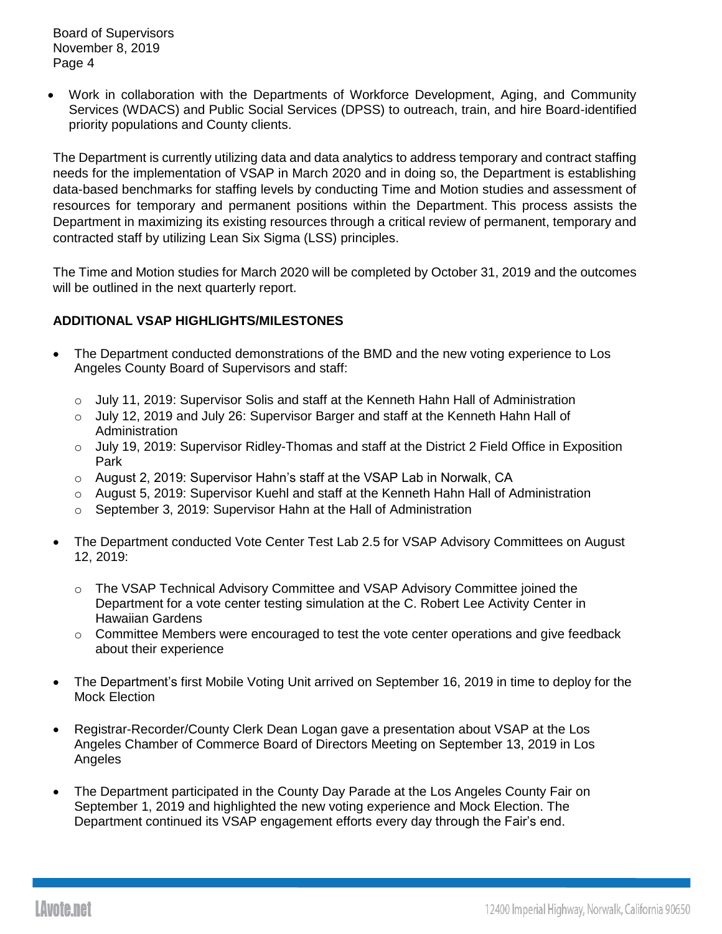• Work in collaboration with the Departments of Workforce Development, Aging, and Community Services (WDACS) and Public Social Services (DPSS) to outreach, train, and hire Board-identified priority populations and County clients.

The Department is currently utilizing data and data analytics to address temporary and contract staffing needs for the implementation of VSAP in March 2020 and in doing so, the Department is establishing data-based benchmarks for staffing levels by conducting Time and Motion studies and assessment of resources for temporary and permanent positions within the Department. This process assists the Department in maximizing its existing resources through a critical review of permanent, temporary and contracted staff by utilizing Lean Six Sigma (LSS) principles.

The Time and Motion studies for March 2020 will be completed by October 31, 2019 and the outcomes will be outlined in the next quarterly report.

# **ADDITIONAL VSAP HIGHLIGHTS/MILESTONES**

- The Department conducted demonstrations of the BMD and the new voting experience to Los Angeles County Board of Supervisors and staff:
	- $\circ$  July 11, 2019: Supervisor Solis and staff at the Kenneth Hahn Hall of Administration
	- o July 12, 2019 and July 26: Supervisor Barger and staff at the Kenneth Hahn Hall of Administration
	- o July 19, 2019: Supervisor Ridley-Thomas and staff at the District 2 Field Office in Exposition Park
	- o August 2, 2019: Supervisor Hahn's staff at the VSAP Lab in Norwalk, CA
	- o August 5, 2019: Supervisor Kuehl and staff at the Kenneth Hahn Hall of Administration
	- o September 3, 2019: Supervisor Hahn at the Hall of Administration
- The Department conducted Vote Center Test Lab 2.5 for VSAP Advisory Committees on August 12, 2019:
	- o The VSAP Technical Advisory Committee and VSAP Advisory Committee joined the Department for a vote center testing simulation at the C. Robert Lee Activity Center in Hawaiian Gardens
	- o Committee Members were encouraged to test the vote center operations and give feedback about their experience
- The Department's first Mobile Voting Unit arrived on September 16, 2019 in time to deploy for the Mock Election
- Registrar-Recorder/County Clerk Dean Logan gave a presentation about VSAP at the Los Angeles Chamber of Commerce Board of Directors Meeting on September 13, 2019 in Los Angeles
- The Department participated in the County Day Parade at the Los Angeles County Fair on September 1, 2019 and highlighted the new voting experience and Mock Election. The Department continued its VSAP engagement efforts every day through the Fair's end.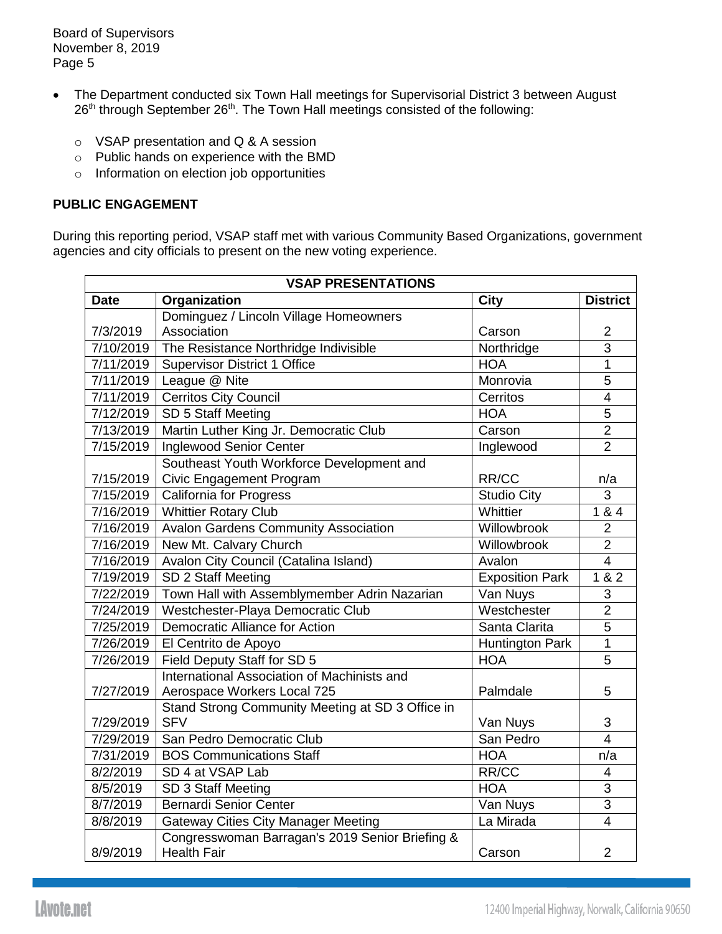- The Department conducted six Town Hall meetings for Supervisorial District 3 between August  $26<sup>th</sup>$  through September  $26<sup>th</sup>$ . The Town Hall meetings consisted of the following:
	- o VSAP presentation and Q & A session
	- o Public hands on experience with the BMD
	- o Information on election job opportunities

### **PUBLIC ENGAGEMENT**

During this reporting period, VSAP staff met with various Community Based Organizations, government agencies and city officials to present on the new voting experience.

| <b>VSAP PRESENTATIONS</b> |                                                                       |                        |                 |  |  |
|---------------------------|-----------------------------------------------------------------------|------------------------|-----------------|--|--|
| <b>Date</b>               | Organization                                                          | <b>City</b>            | <b>District</b> |  |  |
|                           | Dominguez / Lincoln Village Homeowners                                |                        |                 |  |  |
| 7/3/2019                  | Association                                                           | Carson                 | $\overline{2}$  |  |  |
| 7/10/2019                 | The Resistance Northridge Indivisible                                 | Northridge             | $\overline{3}$  |  |  |
| 7/11/2019                 | <b>Supervisor District 1 Office</b>                                   | <b>HOA</b>             | $\overline{1}$  |  |  |
| 7/11/2019                 | League @ Nite                                                         | Monrovia               | 5               |  |  |
| 7/11/2019                 | <b>Cerritos City Council</b>                                          | Cerritos               | $\overline{4}$  |  |  |
| 7/12/2019                 | SD 5 Staff Meeting                                                    | <b>HOA</b>             | 5               |  |  |
| 7/13/2019                 | Martin Luther King Jr. Democratic Club                                | Carson                 | $\overline{2}$  |  |  |
| 7/15/2019                 | Inglewood Senior Center                                               | Inglewood              | $\overline{2}$  |  |  |
|                           | Southeast Youth Workforce Development and                             |                        |                 |  |  |
| 7/15/2019                 | Civic Engagement Program                                              | RR/CC                  | n/a             |  |  |
| 7/15/2019                 | <b>California for Progress</b>                                        | <b>Studio City</b>     | 3               |  |  |
| 7/16/2019                 | <b>Whittier Rotary Club</b>                                           | Whittier               | 1 & 8 & 4       |  |  |
| 7/16/2019                 | <b>Avalon Gardens Community Association</b>                           | Willowbrook            | $\overline{2}$  |  |  |
| 7/16/2019                 | New Mt. Calvary Church                                                | Willowbrook            | $\overline{2}$  |  |  |
| 7/16/2019                 | Avalon City Council (Catalina Island)                                 | Avalon                 | $\overline{4}$  |  |  |
| 7/19/2019                 | SD 2 Staff Meeting                                                    | <b>Exposition Park</b> | 1 & 2           |  |  |
| 7/22/2019                 | Town Hall with Assemblymember Adrin Nazarian                          | Van Nuys               | 3               |  |  |
| 7/24/2019                 | Westchester-Playa Democratic Club                                     | Westchester            | $\overline{2}$  |  |  |
| 7/25/2019                 | <b>Democratic Alliance for Action</b>                                 | Santa Clarita          | $\overline{5}$  |  |  |
| 7/26/2019                 | El Centrito de Apoyo                                                  | <b>Huntington Park</b> | $\mathbf{1}$    |  |  |
| 7/26/2019                 | Field Deputy Staff for SD 5                                           | <b>HOA</b>             | 5               |  |  |
|                           | International Association of Machinists and                           |                        |                 |  |  |
| 7/27/2019                 | Aerospace Workers Local 725                                           | Palmdale               | 5               |  |  |
|                           | Stand Strong Community Meeting at SD 3 Office in                      |                        |                 |  |  |
| 7/29/2019                 | <b>SFV</b>                                                            | Van Nuys               | 3               |  |  |
| 7/29/2019                 | San Pedro Democratic Club                                             | San Pedro              | $\overline{4}$  |  |  |
| 7/31/2019                 | <b>BOS Communications Staff</b>                                       | <b>HOA</b>             | n/a             |  |  |
| 8/2/2019                  | SD 4 at VSAP Lab                                                      | RR/CC                  | $\overline{4}$  |  |  |
| 8/5/2019                  | SD 3 Staff Meeting                                                    | <b>HOA</b>             | 3               |  |  |
| 8/7/2019                  | <b>Bernardi Senior Center</b>                                         | Van Nuys               | $\overline{3}$  |  |  |
| 8/8/2019                  | <b>Gateway Cities City Manager Meeting</b>                            | La Mirada              | $\overline{4}$  |  |  |
| 8/9/2019                  | Congresswoman Barragan's 2019 Senior Briefing &<br><b>Health Fair</b> | Carson                 | $\overline{2}$  |  |  |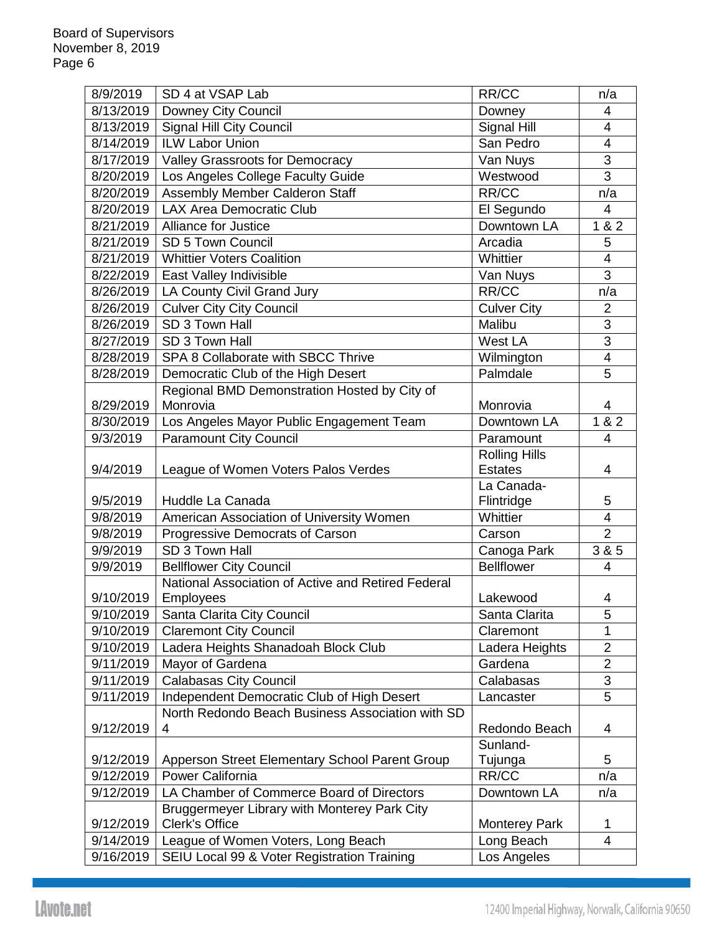| 8/9/2019  | SD 4 at VSAP Lab                                   | RR/CC                | n/a                      |
|-----------|----------------------------------------------------|----------------------|--------------------------|
| 8/13/2019 | Downey City Council                                | Downey               | 4                        |
| 8/13/2019 | <b>Signal Hill City Council</b>                    | Signal Hill          | $\overline{4}$           |
| 8/14/2019 | <b>ILW Labor Union</b>                             | San Pedro            | 4                        |
| 8/17/2019 | Valley Grassroots for Democracy                    | Van Nuys             | 3                        |
| 8/20/2019 | Los Angeles College Faculty Guide                  | Westwood             | 3                        |
| 8/20/2019 | Assembly Member Calderon Staff                     | RR/CC                | n/a                      |
| 8/20/2019 | <b>LAX Area Democratic Club</b>                    | El Segundo           | $\overline{\mathcal{A}}$ |
| 8/21/2019 | <b>Alliance for Justice</b>                        | Downtown LA          | 1 & 2                    |
| 8/21/2019 | SD 5 Town Council                                  | Arcadia              | 5                        |
| 8/21/2019 | <b>Whittier Voters Coalition</b>                   | Whittier             | 4                        |
| 8/22/2019 | East Valley Indivisible                            | Van Nuys             | 3                        |
| 8/26/2019 | LA County Civil Grand Jury                         | RR/CC                | n/a                      |
| 8/26/2019 | <b>Culver City City Council</b>                    | <b>Culver City</b>   | $\overline{2}$           |
| 8/26/2019 | SD 3 Town Hall                                     | Malibu               | $\overline{3}$           |
| 8/27/2019 | SD 3 Town Hall                                     | West LA              | $\overline{3}$           |
| 8/28/2019 | SPA 8 Collaborate with SBCC Thrive                 | Wilmington           | 4                        |
| 8/28/2019 | Democratic Club of the High Desert                 | Palmdale             | 5                        |
|           | Regional BMD Demonstration Hosted by City of       |                      |                          |
| 8/29/2019 | Monrovia                                           | Monrovia             | 4                        |
| 8/30/2019 | Los Angeles Mayor Public Engagement Team           | Downtown LA          | 1 & 2                    |
| 9/3/2019  | <b>Paramount City Council</b>                      | Paramount            | 4                        |
|           |                                                    | <b>Rolling Hills</b> |                          |
| 9/4/2019  | League of Women Voters Palos Verdes                | <b>Estates</b>       | 4                        |
|           |                                                    | La Canada-           |                          |
| 9/5/2019  | Huddle La Canada                                   | Flintridge           | 5                        |
| 9/8/2019  | American Association of University Women           | Whittier             | $\overline{4}$           |
| 9/8/2019  | Progressive Democrats of Carson                    | Carson               | $\overline{2}$           |
| 9/9/2019  | SD 3 Town Hall                                     | Canoga Park          | $\overline{385}$         |
| 9/9/2019  | <b>Bellflower City Council</b>                     | <b>Bellflower</b>    | 4                        |
|           | National Association of Active and Retired Federal |                      |                          |
| 9/10/2019 | Employees                                          | Lakewood             | 4                        |
| 9/10/2019 | Santa Clarita City Council                         | Santa Clarita        | 5                        |
| 9/10/2019 | <b>Claremont City Council</b>                      | Claremont            | 1                        |
| 9/10/2019 | Ladera Heights Shanadoah Block Club                | Ladera Heights       | $\overline{2}$           |
| 9/11/2019 | Mayor of Gardena                                   | Gardena              | $\overline{2}$           |
| 9/11/2019 | <b>Calabasas City Council</b>                      | Calabasas            | 3                        |
| 9/11/2019 | Independent Democratic Club of High Desert         | Lancaster            | 5                        |
|           | North Redondo Beach Business Association with SD   |                      |                          |
| 9/12/2019 | 4                                                  | Redondo Beach        | 4                        |
|           |                                                    | Sunland-             |                          |
| 9/12/2019 | Apperson Street Elementary School Parent Group     | Tujunga              | 5                        |
| 9/12/2019 | Power California                                   | RR/CC                | n/a                      |
| 9/12/2019 | LA Chamber of Commerce Board of Directors          | Downtown LA          | n/a                      |
|           | Bruggermeyer Library with Monterey Park City       |                      |                          |
| 9/12/2019 | <b>Clerk's Office</b>                              | <b>Monterey Park</b> | 1                        |
| 9/14/2019 | League of Women Voters, Long Beach                 | Long Beach           | $\overline{4}$           |
| 9/16/2019 | SEIU Local 99 & Voter Registration Training        | Los Angeles          |                          |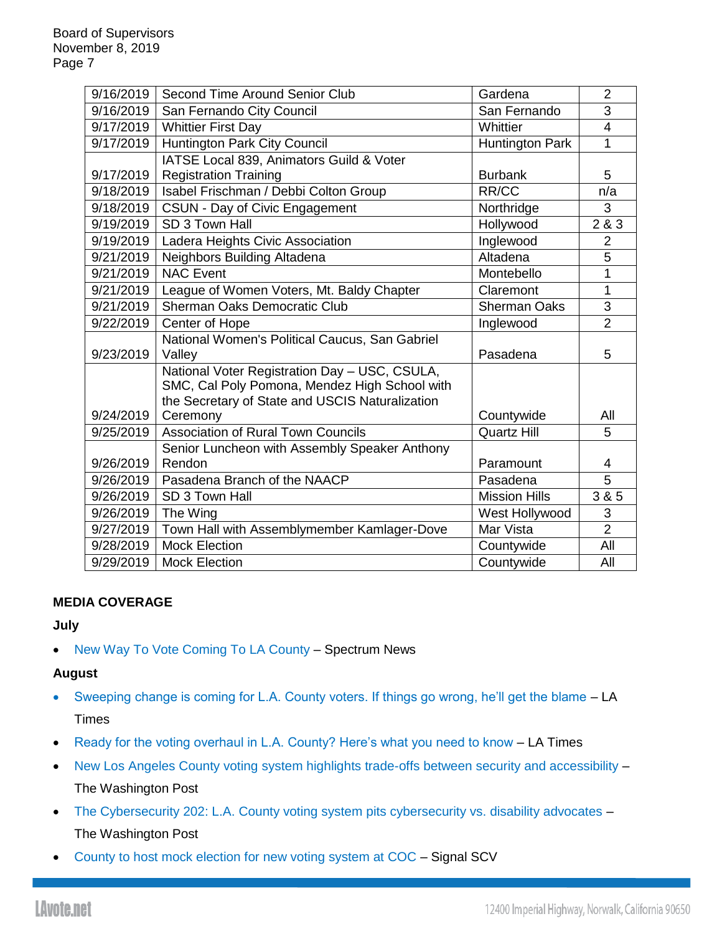| 9/16/2019 | Second Time Around Senior Club                              | Gardena                | $\overline{2}$ |
|-----------|-------------------------------------------------------------|------------------------|----------------|
| 9/16/2019 | San Fernando City Council                                   | San Fernando           | 3              |
| 9/17/2019 | <b>Whittier First Day</b>                                   | Whittier               | $\overline{4}$ |
| 9/17/2019 | Huntington Park City Council                                | <b>Huntington Park</b> | 1              |
|           | IATSE Local 839, Animators Guild & Voter                    |                        |                |
| 9/17/2019 | <b>Registration Training</b>                                | <b>Burbank</b>         | 5              |
| 9/18/2019 | Isabel Frischman / Debbi Colton Group                       | RR/CC                  | n/a            |
| 9/18/2019 | CSUN - Day of Civic Engagement                              | Northridge             | 3              |
| 9/19/2019 | SD 3 Town Hall                                              | Hollywood              | 2 & 3          |
| 9/19/2019 | Ladera Heights Civic Association                            | Inglewood              | $\overline{2}$ |
| 9/21/2019 | Neighbors Building Altadena                                 | Altadena               | 5              |
| 9/21/2019 | <b>NAC Event</b>                                            | Montebello             | 1              |
| 9/21/2019 | League of Women Voters, Mt. Baldy Chapter                   | Claremont              | 1              |
| 9/21/2019 | <b>Sherman Oaks Democratic Club</b>                         | <b>Sherman Oaks</b>    | 3              |
| 9/22/2019 | Center of Hope                                              | Inglewood              | $\overline{2}$ |
|           | National Women's Political Caucus, San Gabriel              |                        |                |
| 9/23/2019 | Valley                                                      | Pasadena               | 5              |
|           | National Voter Registration Day - USC, CSULA,               |                        |                |
|           | SMC, Cal Poly Pomona, Mendez High School with               |                        |                |
| 9/24/2019 | the Secretary of State and USCIS Naturalization<br>Ceremony | Countywide             | All            |
| 9/25/2019 | <b>Association of Rural Town Councils</b>                   | <b>Quartz Hill</b>     | 5              |
|           | Senior Luncheon with Assembly Speaker Anthony               |                        |                |
| 9/26/2019 | Rendon                                                      | Paramount              | 4              |
| 9/26/2019 | Pasadena Branch of the NAACP                                | Pasadena               | $\overline{5}$ |
| 9/26/2019 | SD 3 Town Hall                                              | <b>Mission Hills</b>   | 3 & 5          |
| 9/26/2019 | The Wing                                                    | West Hollywood         | 3              |
| 9/27/2019 | Town Hall with Assemblymember Kamlager-Dove                 | Mar Vista              | $\overline{2}$ |
| 9/28/2019 | <b>Mock Election</b>                                        | Countywide             | All            |
|           |                                                             |                        |                |
| 9/29/2019 | <b>Mock Election</b>                                        | Countywide             | All            |

# **MEDIA COVERAGE**

#### **July**

• [New Way To Vote Coming To LA County](https://spectrumnews1.com/ca/la-east/news/2019/07/30/new-way-to-vote-coming-to-la-county) – Spectrum News

# **August**

- [Sweeping change is coming for L.A. County voters. If things go wrong, he'll get the blame](https://www.latimes.com/la-me-voting-ballot-dean-logan-los-angeles-county-20190609-story.html) LA **Times**
- [Ready for the voting overhaul in L.A. County? Here's what you need to know](https://www.latimes.com/la-me-los-angeles-voting-guide-2020-story.html) LA Times
- [New Los Angeles County voting system highlights trade-offs between security and accessibility](https://www.washingtonpost.com/politics/2019/08/20/new-los-angeles-county-voting-system-highlights-trade-offs-between-security-accessibility/) The Washington Post
- [The Cybersecurity 202: L.A. County voting system pits cybersecurity vs. disability advocates](https://www.washingtonpost.com/news/powerpost/paloma/the-cybersecurity-202/2019/08/21/the-cybersecurity-202-l-a-county-voting-system-pits-cybersecurity-vs-disability-advocates/5d5c0b43602ff171a5d730a0/) -The Washington Post
- [County to host mock election for new voting system at COC](https://signalscv.com/2019/08/county-to-host-mock-election-for-new-voting-system-at-coc/) Signal SCV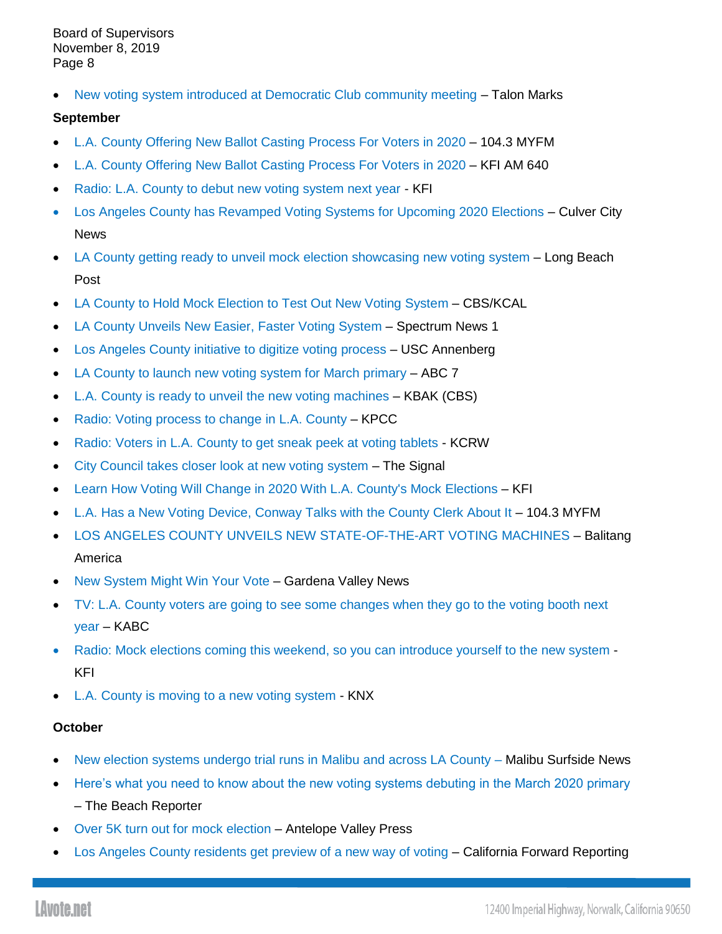• [New voting system introduced at Democratic Club community meeting](https://www.talonmarks.com/community/2019/08/28/new-voting-system-introduced-at-democratic-club-community-meeting/) - Talon Marks

### **September**

- L.A. County Offering [New Ballot Casting Process For Voters in 2020](https://1043myfm.iheart.com/content/2019-09-05-la-county-offering-new-ballot-casting-process-for-voters-in-2020/) 104.3 MYFM
- [L.A. County Offering New Ballot Casting Process For Voters in 2020](https://kfiam640.iheart.com/content/2019-09-05-la-county-offering-new-ballot-casting-process-for-voters-in-2020/) KFI AM 640
- [Radio: L.A. County to debut new voting system next year](http://mms.tveyes.com/MediaView/?c3RhdGlvbj0xNTE1JlN0YXJ0RGF0ZVRpbWU9MDklMmYwNSUyZjIwMTkrMjMlM2EwMiUzYTE4JkVuZERhdGVUaW1lPTA5JTJmMDUlMmYyMDE5KzIzJTNhMDMlM2EwMiYmJmR1cmF0aW9uPTI5ODY0NSZwYXJ0bmVyaWQ9NzMxMyYmaGlnaGxpZ2h0cmVnZXg9JTVjYkNvbW1pc3Npb24lNWNiJTdjJTVjYmhvbWVsZXNzbmVzcyU1Y2IlN2MlNWNiaG9tZWxlc3MlNWNiJTdjJTVjYmNvbW1pc3Npb24lNWNiJTdjJTVjYkwuQS4lNWNiJTdjJTVjYkNvdW50eSU1Y2IlN2MlNWNid2VsbG5lc3MlNWNiJm1vZGVkaXRvcmVuYWJsZT10cnVlJm1vZGVkaXRvcmRlc3RpbmF0aW9ucz00JiZleHBpcmF0aW9uPTEwJTJmMDUlMmYyMDE5KzIzJTNhMDIlM2ExOC4wMDAmaW5zdGFudFBsYXk9VHJ1ZSZzaWduYXR1cmU9MGZhZTljM2JhNzdkNWY2ZWZmMzkwMzUzZWFmMjhhMDY=) KFI
- [Los Angeles County has Revamped Voting Systems for Upcoming 2020 Elections](https://www.culvercitynews.org/los-angeles-county-has-revamped-voting-systems-for-upcoming-2020-elections/) Culver City **News**
- [LA County getting ready to unveil mock election showcasing new voting system](https://lbpost.com/news/la-county-getting-ready-to-unveil-mock-election-to-showcase-new-voting-system) Long Beach Post
- [LA County to Hold Mock Election to Test Out New Voting System](https://news.yahoo.com/la-county-hold-mock-election-010516409.html) CBS/KCAL
- [LA County Unveils New Easier, Faster Voting System](https://spectrumnews1.com/ca/la-west/news/2019/09/17/la-county-s-new-voting-system-makes-voting-easier--faster) Spectrum News 1
- [Los Angeles County initiative to digitize voting process](http://www.uscannenbergmedia.com/2019/09/17/los-angeles-county-initiative-to-digitize-voting-process/) USC Annenberg
- [LA County to launch new voting system for March primary](https://abc7.com/politics/la-county-to-launch-new-voting-system-for-march-primary/5544326/) ABC 7
- [L.A. County is ready to unveil the new voting machines](http://mms.tveyes.com/MediaView/?c3RhdGlvbj0xMzEwJlN0YXJ0RGF0ZVRpbWU9MDklMmYxNyUyZjIwMTkrMTclM2ExMCUzYTA3JkVuZERhdGVUaW1lPTA5JTJmMTclMmYyMDE5KzE3JTNhMTAlM2EzMyYmJmR1cmF0aW9uPTI1Mzk4NCZwYXJ0bmVyaWQ9NzMxMyYmaGlnaGxpZ2h0cmVnZXg9JTVjYmxvcythbmdlbGVzJTVjYiU3YyU1Y2Jjb3VudHklNWNiJTdjJTVjYnNoZXJpZmYlMjdzK2RlcGFydG1lbnQlNWNiJm1vZGVkaXRvcmVuYWJsZT10cnVlJm1vZGVkaXRvcmRlc3RpbmF0aW9ucz00JiZleHBpcmF0aW9uPTEwJTJmMTclMmYyMDE5KzE3JTNhMTAlM2EwNy4wMDAmaW5zdGFudFBsYXk9VHJ1ZSZzaWduYXR1cmU9ODU3NWMxOGQ5ZDlmNTIzYjFjOGNlNjMyNzI5ZTllNDM=) KBAK (CBS)
- [Radio: Voting process to change](http://mms.tveyes.com/MediaView/?c3RhdGlvbj02NDYwJlN0YXJ0RGF0ZVRpbWU9MDklMmYxNyUyZjIwMTkrMTQlM2EzNyUzYTAwJkVuZERhdGVUaW1lPTA5JTJmMTclMmYyMDE5KzE0JTNhMzclM2E1OSYmJmR1cmF0aW9uPTI5OTYxMCZwYXJ0bmVyaWQ9NzMxMyYmaGlnaGxpZ2h0cmVnZXg9JTVjYmNsaW1hdGUrY2hhbmdlJTVjYiU3YyU1Y2JMLkEuJTVjYiU3YyU1Y2JDb3VudHklNWNiJTdjJTVjYnJlZ2lzdHJhciU1Y2ImbW9kZWRpdG9yZW5hYmxlPXRydWUmbW9kZWRpdG9yZGVzdGluYXRpb25zPTQmJmV4cGlyYXRpb249MTAlMmYxNyUyZjIwMTkrMTQlM2EzNyUzYTAwLjAwMCZpbnN0YW50UGxheT1UcnVlJnNpZ25hdHVyZT1hY2I0YjEwM2EwMjI2ZWZiMDc3MTY1MmRiMGIwNmVhMw==) in L.A. County KPCC
- [Radio: Voters in L.A. County to get sneak peek at voting tablets](http://mms.tveyes.com/MediaView/?c3RhdGlvbj02NzI1JlN0YXJ0RGF0ZVRpbWU9MDklMmYxNyUyZjIwMTkrMTklM2EwNSUzYTM1JkVuZERhdGVUaW1lPTA5JTJmMTclMmYyMDE5KzE5JTNhMDYlM2EwOSYmJmR1cmF0aW9uPTI5NzYxNSZwYXJ0bmVyaWQ9NzMxMyYmaGlnaGxpZ2h0cmVnZXg9JTVjYmhvbWVsZXNzbmVzcyU1Y2IlN2MlNWNiTC5BLiU1Y2IlN2MlNWNiQ291bnR5JTVjYiU3YyU1Y2Job21lbGVzcyU1Y2IlN2MlNWNicmVnaXN0cmFyJTVjYiZtb2RlZGl0b3JlbmFibGU9dHJ1ZSZtb2RlZGl0b3JkZXN0aW5hdGlvbnM9NCYmZXhwaXJhdGlvbj0xMCUyZjE3JTJmMjAxOSsxOSUzYTA1JTNhMzUuMDAwJmluc3RhbnRQbGF5PVRydWUmc2lnbmF0dXJlPTA1NzliMmNlNDJhYjA3Yzg3NzdjODM0ZGQ3NTc4NzYx) KCRW
- City Council [takes closer look at new voting system](https://signalscv.com/2019/09/city-council-takes-closer-look-at-new-voting-system/) The Signal
- [Learn How Voting Will Change in 2020 With L.A. County's Mock Elections](https://kfiam640.iheart.com/content/2019-09-18-learn-how-voting-will-change-in-2020-with-la-countys-mock-elections/) KFI
- [L.A. Has a New Voting Device, Conway Talks with the County Clerk About It](https://1043myfm.iheart.com/featured/iheartsocal/content/2019-09-18-la-has-a-new-voting-device-conway-talks-with-the-county-clerk-about-it/) 104.3 MYFM
- [LOS ANGELES COUNTY UNVEILS NEW STATE-OF-THE-ART VOTING MACHINES](https://balitangamerica.tv/los-angeles-county-unveils-new-voting-machines-to-spark-voters-interest/?fbclid=IwAR0PZfSxQS9MMf5FpSfhEks-rUOHTeDkV9SbQTu5empKlugtiEsyZQ5kbgo) Balitang America
- [New System Might Win Your Vote](https://gardenavalleynews.org/new-system-might-win-your-vote/) Gardena Valley News
- [TV: L.A. County voters are going to see some changes when they go to the voting booth next](http://mms.tveyes.com/MediaView/?c3RhdGlvbj03ODUmU3RhcnREYXRlVGltZT0wOSUyZjIxJTJmMjAxOSswNSUzYTM0JTNhMjQmRW5kRGF0ZVRpbWU9MDklMmYyMSUyZjIwMTkrMDUlM2EzNiUzYTMzJiYmZHVyYXRpb249Mjk5MDcyJnBhcnRuZXJpZD03MzEzJiZoaWdobGlnaHRyZWdleD0lNWNiY291bnR5JTVjYiU3YyU1Y2Jsb3MrYW5nZWxlcyU1Y2IlN2MlNWNicmVnaXN0cmFyJTVjYiZtb2RlZGl0b3JlbmFibGU9dHJ1ZSZtb2RlZGl0b3JkZXN0aW5hdGlvbnM9NCYmZXhwaXJhdGlvbj0xMCUyZjIxJTJmMjAxOSswNSUzYTM0JTNhMjQuMDAwJmluc3RhbnRQbGF5PVRydWUmc2lnbmF0dXJlPWE4ZTc5OTZkODdhYWM1ZGNhYzMzNTAxYjRmN2I2MjQ3)  [year](http://mms.tveyes.com/MediaView/?c3RhdGlvbj03ODUmU3RhcnREYXRlVGltZT0wOSUyZjIxJTJmMjAxOSswNSUzYTM0JTNhMjQmRW5kRGF0ZVRpbWU9MDklMmYyMSUyZjIwMTkrMDUlM2EzNiUzYTMzJiYmZHVyYXRpb249Mjk5MDcyJnBhcnRuZXJpZD03MzEzJiZoaWdobGlnaHRyZWdleD0lNWNiY291bnR5JTVjYiU3YyU1Y2Jsb3MrYW5nZWxlcyU1Y2IlN2MlNWNicmVnaXN0cmFyJTVjYiZtb2RlZGl0b3JlbmFibGU9dHJ1ZSZtb2RlZGl0b3JkZXN0aW5hdGlvbnM9NCYmZXhwaXJhdGlvbj0xMCUyZjIxJTJmMjAxOSswNSUzYTM0JTNhMjQuMDAwJmluc3RhbnRQbGF5PVRydWUmc2lnbmF0dXJlPWE4ZTc5OTZkODdhYWM1ZGNhYzMzNTAxYjRmN2I2MjQ3) – KABC
- [Radio: Mock elections coming this weekend, so you can introduce yourself to the new system](http://mms.tveyes.com/MediaView/?c3RhdGlvbj0xNTE1JlN0YXJ0RGF0ZVRpbWU9MDklMmYyMiUyZjIwMTkrMDQlM2EzMyUzYTM2JkVuZERhdGVUaW1lPTA5JTJmMjIlMmYyMDE5KzA0JTNhMzQlM2EzNiYmJmR1cmF0aW9uPTI5OTYyMCZwYXJ0bmVyaWQ9NzMxMyYmaGlnaGxpZ2h0cmVnZXg9JTVjYkwuQS4lNWNiJTdjJTVjYkNvdW50eSU1Y2IlN2MlNWNibWVudGFsK2hlYWx0aCU1Y2IlN2MlNWNidmFjY2luZSU1Y2IlN2MlNWNiaG9tZWxlc3MlNWNiJm1vZGVkaXRvcmVuYWJsZT10cnVlJm1vZGVkaXRvcmRlc3RpbmF0aW9ucz00JiZleHBpcmF0aW9uPTEwJTJmMjIlMmYyMDE5KzA0JTNhMzMlM2EzNi4wMDAmaW5zdGFudFBsYXk9VHJ1ZSZzaWduYXR1cmU9YzU0ZTIyYjQzMjRmMmU0MWQ5MWVjYTQ0NjE1MTRmMWY=) -KFI
- [L.A. County is moving to a new voting system](http://mms.tveyes.com/MediaView/?c3RhdGlvbj02NDU1JlN0YXJ0RGF0ZVRpbWU9MDklMmYyMyUyZjIwMTkrMDIlM2ExOCUzYTU2JkVuZERhdGVUaW1lPTA5JTJmMjMlMmYyMDE5KzAyJTNhMTklM2E1MiYmJmR1cmF0aW9uPTI5ODkzMCZwYXJ0bmVyaWQ9NzMxMyYmaGlnaGxpZ2h0cmVnZXg9JTVjYkwuQS4lNWNiJTdjJTVjYkNvdW50eSU1Y2IlN2MlNWNicmVnaXN0cmFyJTVjYiU3YyU1Y2JDb3VudHkrY2xlcmslNWNiJm1vZGVkaXRvcmVuYWJsZT10cnVlJm1vZGVkaXRvcmRlc3RpbmF0aW9ucz00JiZleHBpcmF0aW9uPTEwJTJmMjMlMmYyMDE5KzAyJTNhMTglM2E1Ni4wMDAmaW5zdGFudFBsYXk9VHJ1ZSZzaWduYXR1cmU9NjZmM2M2MmU2ZGZhNTViN2FlOWUxNjVjZDM4MTAzMzI=) KNX

# **October**

- [New election systems undergo trial runs in Malibu and across LA County](https://www.malibusurfsidenews.com/p/news-local-government/new-election-systems-undergo-trial-runs-malibu-and-across-la-county) Malibu Surfside News
- [Here's what you need to know about the new voting systems debuting in the March 2020 primary](http://tbrnews.com/news/here-s-what-you-need-to-know-about-the-new/article_e176ae8c-e3bb-11e9-a997-7b818fd422df.html) – The Beach Reporter
- [Over 5K turn out for mock election](https://www.avpress.com/news/local_news/over-k-turn-out-for-mock-election/article_f18fa8e2-e4dc-11e9-b0ba-b7cfd3acc22f.html) Antelope Valley Press
- [Los Angeles County residents get preview of a new way of voting](https://cafwd.org/reporting/entry/los-angeles-county-residents-get-preview-of-a-new-way-of-voting) California Forward Reporting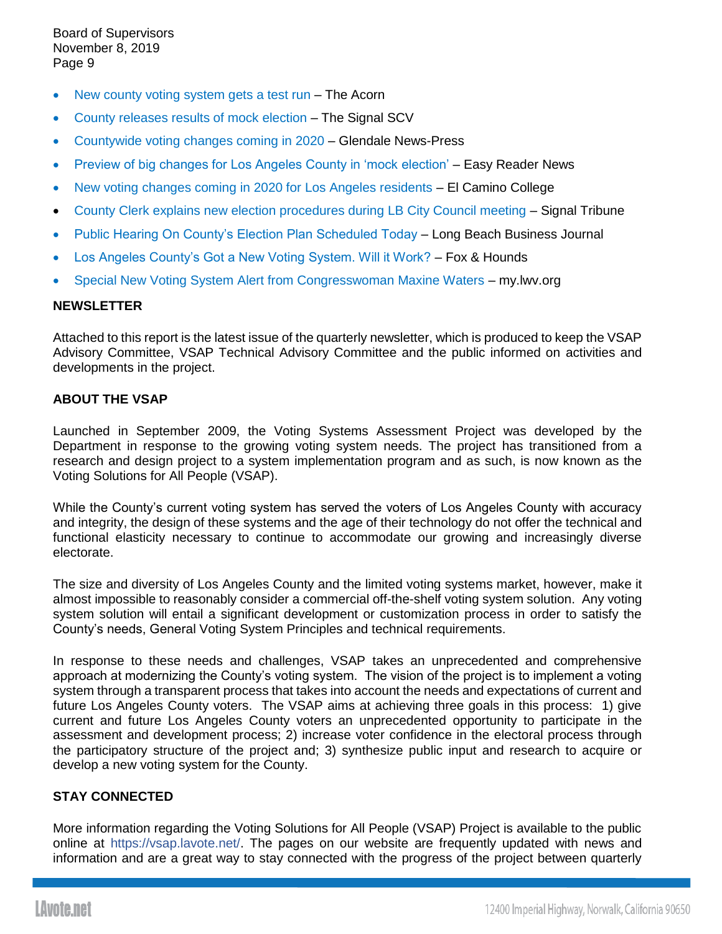- [New county voting system gets a test run](https://www.theacorn.com/articles/new-county-voting-system-gets-a-test-run/) The Acorn
- [County releases results of mock election](https://signalscv.com/2019/10/county-releases-results-of-mock-election/) The Signal SCV
- [Countywide voting changes coming in 2020](https://www.latimes.com/socal/glendale-news-press/news/story/2019-10-03/tn-gnp-me-la-county-new-voting-method) Glendale News-Press
- [Preview of big changes for Los Angeles County in 'mock election'](https://easyreadernews.com/preview-of-big-changes-for-los-angeles-county-in-mock-election/) Easy Reader News
- [New voting changes coming in 2020 for Los Angeles residents](https://eccunion.com/news/2019/10/04/new-voting-changes-coming-in-2020-for-los-angeles-residents/) El Camino College
- [County Clerk explains new election procedures during LB City Council meeting](https://signaltribunenewspaper.com/44767/news/county-clerk-explains-new-election-procedures-during-lb-city-council-meeting/) Signal Tribune
- [Public Hearing On County's Election Plan Scheduled Today](https://www.lbbusinessjournal.com/bizbrief-todays-news-to-know-108/) Long Beach Business Journal
- [Los Angeles County's Got a New Voting System. Will it Work?](http://www.foxandhoundsdaily.com/2019/10/los-angeles-countys-got-a-new-voting-system-will-it-work/) Fox & Hounds
- [Special New Voting System Alert from Congresswoman Maxine Waters](https://my.lwv.org/california/torrance-area/event/special-new-voting-system-alert-congresswoman-maxine-waters) my.lwv.org

#### **NEWSLETTER**

Attached to this report is the latest issue of the quarterly newsletter, which is produced to keep the VSAP Advisory Committee, VSAP Technical Advisory Committee and the public informed on activities and developments in the project.

### **ABOUT THE VSAP**

Launched in September 2009, the Voting Systems Assessment Project was developed by the Department in response to the growing voting system needs. The project has transitioned from a research and design project to a system implementation program and as such, is now known as the Voting Solutions for All People (VSAP).

While the County's current voting system has served the voters of Los Angeles County with accuracy and integrity, the design of these systems and the age of their technology do not offer the technical and functional elasticity necessary to continue to accommodate our growing and increasingly diverse electorate.

The size and diversity of Los Angeles County and the limited voting systems market, however, make it almost impossible to reasonably consider a commercial off-the-shelf voting system solution. Any voting system solution will entail a significant development or customization process in order to satisfy the County's needs, General Voting System Principles and technical requirements.

In response to these needs and challenges, VSAP takes an unprecedented and comprehensive approach at modernizing the County's voting system. The vision of the project is to implement a voting system through a transparent process that takes into account the needs and expectations of current and future Los Angeles County voters. The VSAP aims at achieving three goals in this process: 1) give current and future Los Angeles County voters an unprecedented opportunity to participate in the assessment and development process; 2) increase voter confidence in the electoral process through the participatory structure of the project and; 3) synthesize public input and research to acquire or develop a new voting system for the County.

# **STAY CONNECTED**

More information regarding the Voting Solutions for All People (VSAP) Project is available to the public online at [https://vsap.lavote.net/.](https://vsap.lavote.net/) The pages on our website are frequently updated with news and information and are a great way to stay connected with the progress of the project between quarterly